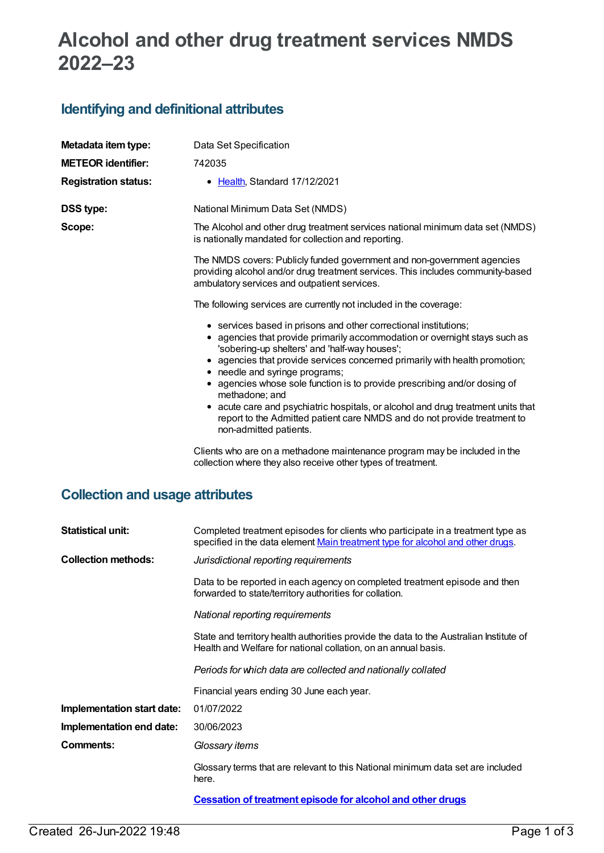# **Alcohol and other drug treatment services NMDS 2022–23**

### **Identifying and definitional attributes**

| Metadata item type:         | Data Set Specification                                                                                                                                                                                                                                                                                                                                                                                                                                                                                                                                                                                                                                                                                                                                                                                                                                                                                                                                                                                                                                                                                                                                                                                                   |
|-----------------------------|--------------------------------------------------------------------------------------------------------------------------------------------------------------------------------------------------------------------------------------------------------------------------------------------------------------------------------------------------------------------------------------------------------------------------------------------------------------------------------------------------------------------------------------------------------------------------------------------------------------------------------------------------------------------------------------------------------------------------------------------------------------------------------------------------------------------------------------------------------------------------------------------------------------------------------------------------------------------------------------------------------------------------------------------------------------------------------------------------------------------------------------------------------------------------------------------------------------------------|
| <b>METEOR identifier:</b>   | 742035                                                                                                                                                                                                                                                                                                                                                                                                                                                                                                                                                                                                                                                                                                                                                                                                                                                                                                                                                                                                                                                                                                                                                                                                                   |
| <b>Registration status:</b> | • Health, Standard 17/12/2021                                                                                                                                                                                                                                                                                                                                                                                                                                                                                                                                                                                                                                                                                                                                                                                                                                                                                                                                                                                                                                                                                                                                                                                            |
| <b>DSS type:</b><br>Scope:  | National Minimum Data Set (NMDS)<br>The Alcohol and other drug treatment services national minimum data set (NMDS)<br>is nationally mandated for collection and reporting.<br>The NMDS covers: Publicly funded government and non-government agencies<br>providing alcohol and/or drug treatment services. This includes community-based<br>ambulatory services and outpatient services.<br>The following services are currently not included in the coverage:<br>• services based in prisons and other correctional institutions;<br>• agencies that provide primarily accommodation or overnight stays such as<br>'sobering-up shelters' and 'half-way houses';<br>• agencies that provide services concerned primarily with health promotion;<br>• needle and syringe programs;<br>• agencies whose sole function is to provide prescribing and/or dosing of<br>methadone; and<br>• acute care and psychiatric hospitals, or alcohol and drug treatment units that<br>report to the Admitted patient care NMDS and do not provide treatment to<br>non-admitted patients.<br>Clients who are on a methadone maintenance program may be included in the<br>collection where they also receive other types of treatment. |

## **Collection and usage attributes**

| <b>Statistical unit:</b>   | Completed treatment episodes for clients who participate in a treatment type as<br>specified in the data element Main treatment type for alcohol and other drugs. |  |  |
|----------------------------|-------------------------------------------------------------------------------------------------------------------------------------------------------------------|--|--|
| <b>Collection methods:</b> | Jurisdictional reporting requirements                                                                                                                             |  |  |
|                            | Data to be reported in each agency on completed treatment episode and then<br>forwarded to state/territory authorities for collation.                             |  |  |
|                            | National reporting requirements                                                                                                                                   |  |  |
|                            | State and territory health authorities provide the data to the Australian Institute of<br>Health and Welfare for national collation, on an annual basis.          |  |  |
|                            | Periods for which data are collected and nationally collated                                                                                                      |  |  |
|                            | Financial years ending 30 June each year.                                                                                                                         |  |  |
| Implementation start date: | 01/07/2022                                                                                                                                                        |  |  |
| Implementation end date:   | 30/06/2023                                                                                                                                                        |  |  |
| Comments:                  | Glossary items                                                                                                                                                    |  |  |
|                            | Glossary terms that are relevant to this National minimum data set are included<br>here.                                                                          |  |  |
|                            | <b>Cessation of treatment episode for alcohol and other drugs</b>                                                                                                 |  |  |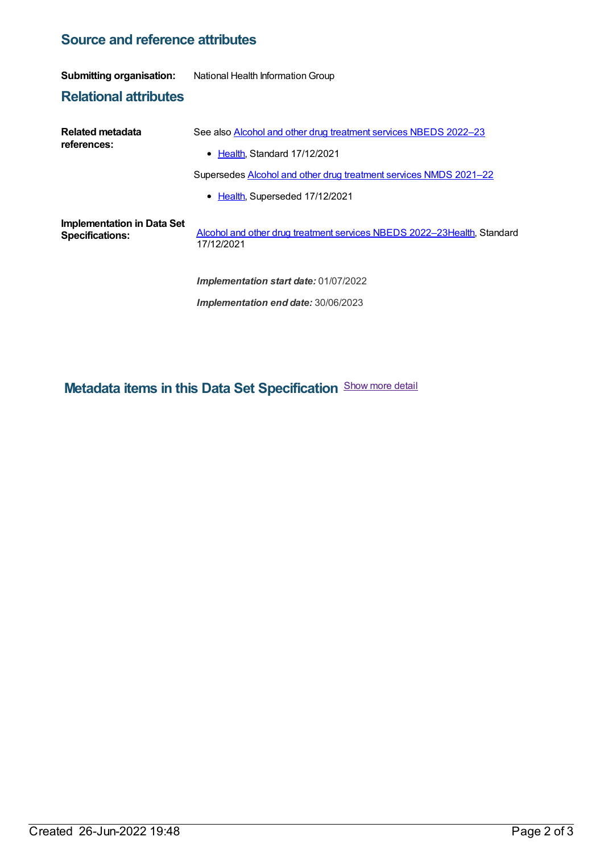### **Source and reference attributes**

#### **Submitting organisation:** National Health Information Group

**Relational attributes**

| Related metadata<br>references:                      | See also Alcohol and other drug treatment services NBEDS 2022-23                      |
|------------------------------------------------------|---------------------------------------------------------------------------------------|
|                                                      | $\bullet$ Health Standard 17/12/2021                                                  |
|                                                      | Supersedes Alcohol and other drug treatment services NMDS 2021-22                     |
|                                                      | • Health, Superseded 17/12/2021                                                       |
| Implementation in Data Set<br><b>Specifications:</b> | Alcohol and other drug treatment services NBEDS 2022-23Health, Standard<br>17/12/2021 |
|                                                      | <b>Implementation start date: 01/07/2022</b>                                          |
|                                                      | Implementation end date: 30/06/2023                                                   |

**Metadata items in this Data Set Specification** Show more detail